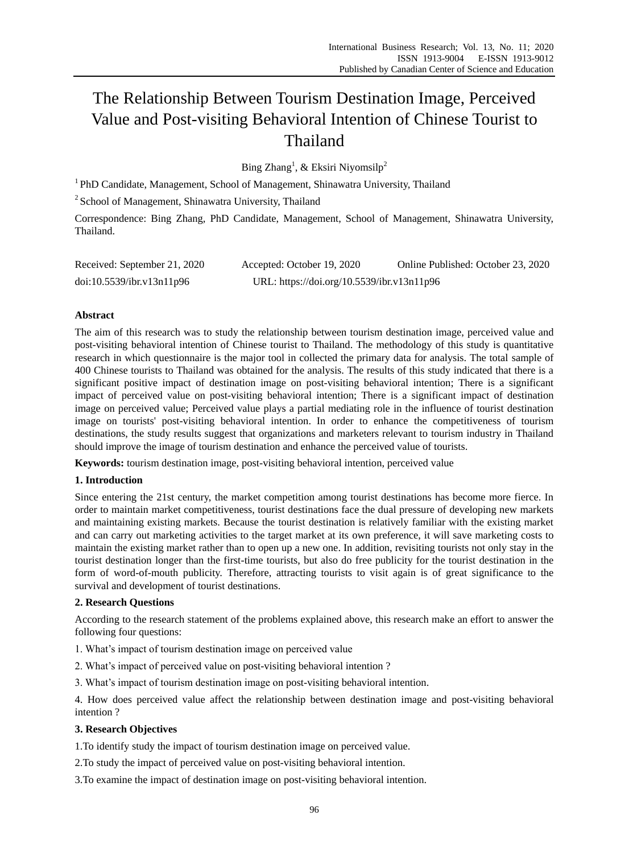# The Relationship Between Tourism Destination Image, Perceived Value and Post-visiting Behavioral Intention of Chinese Tourist to Thailand

Bing Zhang<sup>1</sup>, & Eksiri Niyomsilp<sup>2</sup>

<sup>1</sup> PhD Candidate, Management, School of Management, Shinawatra University, Thailand

<sup>2</sup> School of Management, Shinawatra University, Thailand

Correspondence: Bing Zhang, PhD Candidate, Management, School of Management, Shinawatra University, Thailand.

| Received: September 21, 2020 | Accepted: October 19, 2020                 | Online Published: October 23, 2020 |
|------------------------------|--------------------------------------------|------------------------------------|
| doi:10.5539/ibr.v13n11p96    | URL: https://doi.org/10.5539/ibr.v13n11p96 |                                    |

# **Abstract**

The aim of this research was to study the relationship between tourism destination image, perceived value and post-visiting behavioral intention of Chinese tourist to Thailand. The methodology of this study is quantitative research in which questionnaire is the major tool in collected the primary data for analysis. The total sample of 400 Chinese tourists to Thailand was obtained for the analysis. The results of this study indicated that there is a significant positive impact of destination image on post-visiting behavioral intention; There is a significant impact of perceived value on post-visiting behavioral intention; There is a significant impact of destination image on perceived value; Perceived value plays a partial mediating role in the influence of tourist destination image on tourists' post-visiting behavioral intention. In order to enhance the competitiveness of tourism destinations, the study results suggest that organizations and marketers relevant to tourism industry in Thailand should improve the image of tourism destination and enhance the perceived value of tourists.

**Keywords:** tourism destination image, post-visiting behavioral intention, perceived value

## **1. Introduction**

Since entering the 21st century, the market competition among tourist destinations has become more fierce. In order to maintain market competitiveness, tourist destinations face the dual pressure of developing new markets and maintaining existing markets. Because the tourist destination is relatively familiar with the existing market and can carry out marketing activities to the target market at its own preference, it will save marketing costs to maintain the existing market rather than to open up a new one. In addition, revisiting tourists not only stay in the tourist destination longer than the first-time tourists, but also do free publicity for the tourist destination in the form of word-of-mouth publicity. Therefore, attracting tourists to visit again is of great significance to the survival and development of tourist destinations.

# **2. Research Questions**

According to the research statement of the problems explained above, this research make an effort to answer the following four questions:

1. What's impact of tourism destination image on perceived value

2. What's impact of perceived value on post-visiting behavioral intention ?

3. What's impact of tourism destination image on post-visiting behavioral intention.

4. How does perceived value affect the relationship between destination image and post-visiting behavioral intention ?

## **3. Research Objectives**

1.To identify study the impact of tourism destination image on perceived value.

2.To study the impact of perceived value on post-visiting behavioral intention.

3.To examine the impact of destination image on post-visiting behavioral intention.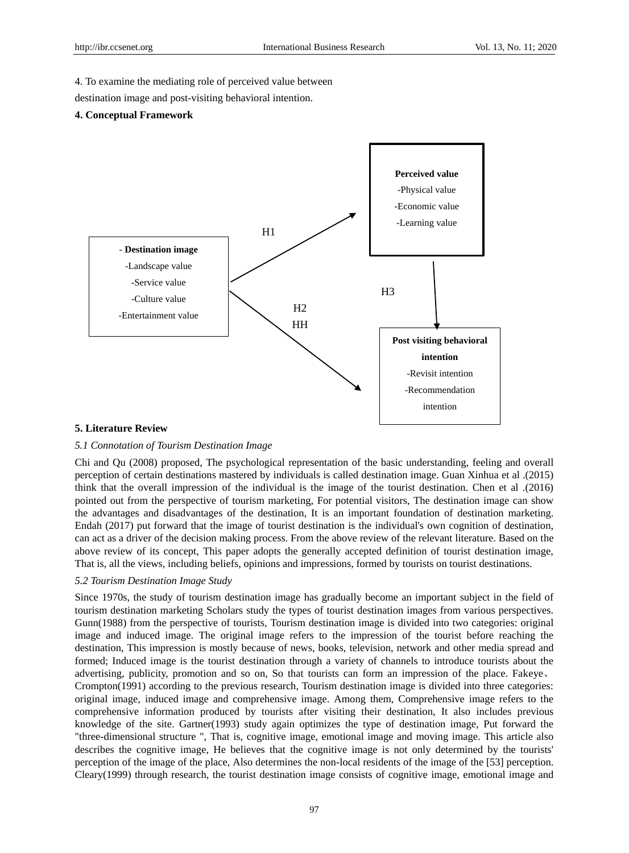4. To examine the mediating role of perceived value between

destination image and post-visiting behavioral intention.

#### **4. Conceptual Framework**



#### **5. Literature Review**

## *5.1 Connotation of Tourism Destination Image*

Chi and Qu (2008) proposed, The psychological representation of the basic understanding, feeling and overall perception of certain destinations mastered by individuals is called destination image. Guan Xinhua et al .(2015) think that the overall impression of the individual is the image of the tourist destination. Chen et al .(2016) pointed out from the perspective of tourism marketing, For potential visitors, The destination image can show the advantages and disadvantages of the destination, It is an important foundation of destination marketing. Endah (2017) put forward that the image of tourist destination is the individual's own cognition of destination, can act as a driver of the decision making process. From the above review of the relevant literature. Based on the above review of its concept, This paper adopts the generally accepted definition of tourist destination image, That is, all the views, including beliefs, opinions and impressions, formed by tourists on tourist destinations.

#### *5.2 Tourism Destination Image Study*

Since 1970s, the study of tourism destination image has gradually become an important subject in the field of tourism destination marketing Scholars study the types of tourist destination images from various perspectives. Gunn(1988) from the perspective of tourists, Tourism destination image is divided into two categories: original image and induced image. The original image refers to the impression of the tourist before reaching the destination, This impression is mostly because of news, books, television, network and other media spread and formed; Induced image is the tourist destination through a variety of channels to introduce tourists about the advertising, publicity, promotion and so on, So that tourists can form an impression of the place. Fakeye、 Crompton(1991) according to the previous research, Tourism destination image is divided into three categories: original image, induced image and comprehensive image. Among them, Comprehensive image refers to the comprehensive information produced by tourists after visiting their destination, It also includes previous knowledge of the site. Gartner(1993) study again optimizes the type of destination image, Put forward the "three-dimensional structure ", That is, cognitive image, emotional image and moving image. This article also describes the cognitive image, He believes that the cognitive image is not only determined by the tourists' perception of the image of the place, Also determines the non-local residents of the image of the [53] perception. Cleary(1999) through research, the tourist destination image consists of cognitive image, emotional image and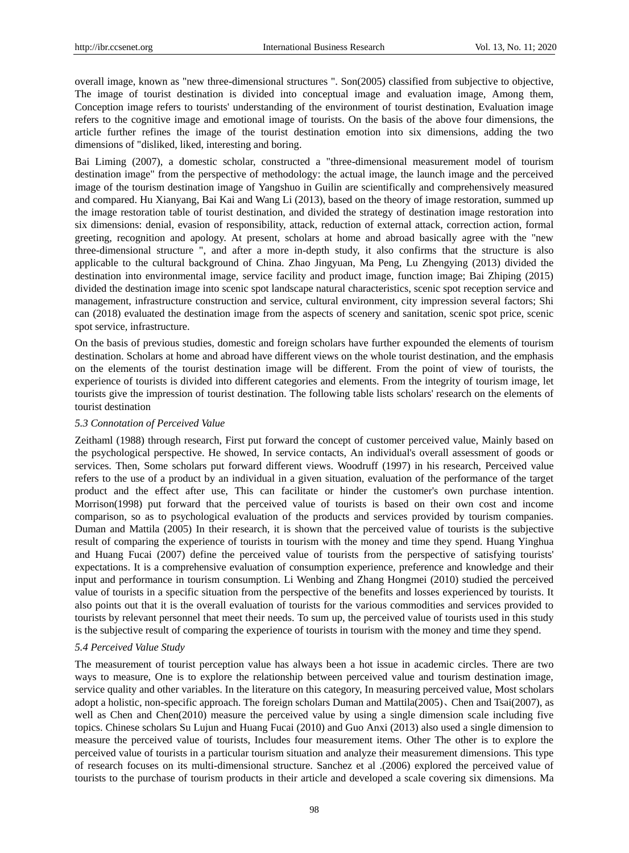overall image, known as "new three-dimensional structures ". Son(2005) classified from subjective to objective, The image of tourist destination is divided into conceptual image and evaluation image, Among them, Conception image refers to tourists' understanding of the environment of tourist destination, Evaluation image refers to the cognitive image and emotional image of tourists. On the basis of the above four dimensions, the article further refines the image of the tourist destination emotion into six dimensions, adding the two dimensions of "disliked, liked, interesting and boring.

Bai Liming (2007), a domestic scholar, constructed a "three-dimensional measurement model of tourism destination image" from the perspective of methodology: the actual image, the launch image and the perceived image of the tourism destination image of Yangshuo in Guilin are scientifically and comprehensively measured and compared. Hu Xianyang, Bai Kai and Wang Li (2013), based on the theory of image restoration, summed up the image restoration table of tourist destination, and divided the strategy of destination image restoration into six dimensions: denial, evasion of responsibility, attack, reduction of external attack, correction action, formal greeting, recognition and apology. At present, scholars at home and abroad basically agree with the "new three-dimensional structure ", and after a more in-depth study, it also confirms that the structure is also applicable to the cultural background of China. Zhao Jingyuan, Ma Peng, Lu Zhengying (2013) divided the destination into environmental image, service facility and product image, function image; Bai Zhiping (2015) divided the destination image into scenic spot landscape natural characteristics, scenic spot reception service and management, infrastructure construction and service, cultural environment, city impression several factors; Shi can (2018) evaluated the destination image from the aspects of scenery and sanitation, scenic spot price, scenic spot service, infrastructure.

On the basis of previous studies, domestic and foreign scholars have further expounded the elements of tourism destination. Scholars at home and abroad have different views on the whole tourist destination, and the emphasis on the elements of the tourist destination image will be different. From the point of view of tourists, the experience of tourists is divided into different categories and elements. From the integrity of tourism image, let tourists give the impression of tourist destination. The following table lists scholars' research on the elements of tourist destination

#### *5.3 Connotation of Perceived Value*

Zeithaml (1988) through research, First put forward the concept of customer perceived value, Mainly based on the psychological perspective. He showed, In service contacts, An individual's overall assessment of goods or services. Then, Some scholars put forward different views. Woodruff (1997) in his research, Perceived value refers to the use of a product by an individual in a given situation, evaluation of the performance of the target product and the effect after use, This can facilitate or hinder the customer's own purchase intention. Morrison(1998) put forward that the perceived value of tourists is based on their own cost and income comparison, so as to psychological evaluation of the products and services provided by tourism companies. Duman and Mattila (2005) In their research, it is shown that the perceived value of tourists is the subjective result of comparing the experience of tourists in tourism with the money and time they spend. Huang Yinghua and Huang Fucai (2007) define the perceived value of tourists from the perspective of satisfying tourists' expectations. It is a comprehensive evaluation of consumption experience, preference and knowledge and their input and performance in tourism consumption. Li Wenbing and Zhang Hongmei (2010) studied the perceived value of tourists in a specific situation from the perspective of the benefits and losses experienced by tourists. It also points out that it is the overall evaluation of tourists for the various commodities and services provided to tourists by relevant personnel that meet their needs. To sum up, the perceived value of tourists used in this study is the subjective result of comparing the experience of tourists in tourism with the money and time they spend.

#### *5.4 Perceived Value Study*

The measurement of tourist perception value has always been a hot issue in academic circles. There are two ways to measure, One is to explore the relationship between perceived value and tourism destination image, service quality and other variables. In the literature on this category, In measuring perceived value, Most scholars adopt a holistic, non-specific approach. The foreign scholars Duman and Mattila(2005)、Chen and Tsai(2007), as well as Chen and Chen(2010) measure the perceived value by using a single dimension scale including five topics. Chinese scholars Su Lujun and Huang Fucai (2010) and Guo Anxi (2013) also used a single dimension to measure the perceived value of tourists, Includes four measurement items. Other The other is to explore the perceived value of tourists in a particular tourism situation and analyze their measurement dimensions. This type of research focuses on its multi-dimensional structure. Sanchez et al .(2006) explored the perceived value of tourists to the purchase of tourism products in their article and developed a scale covering six dimensions. Ma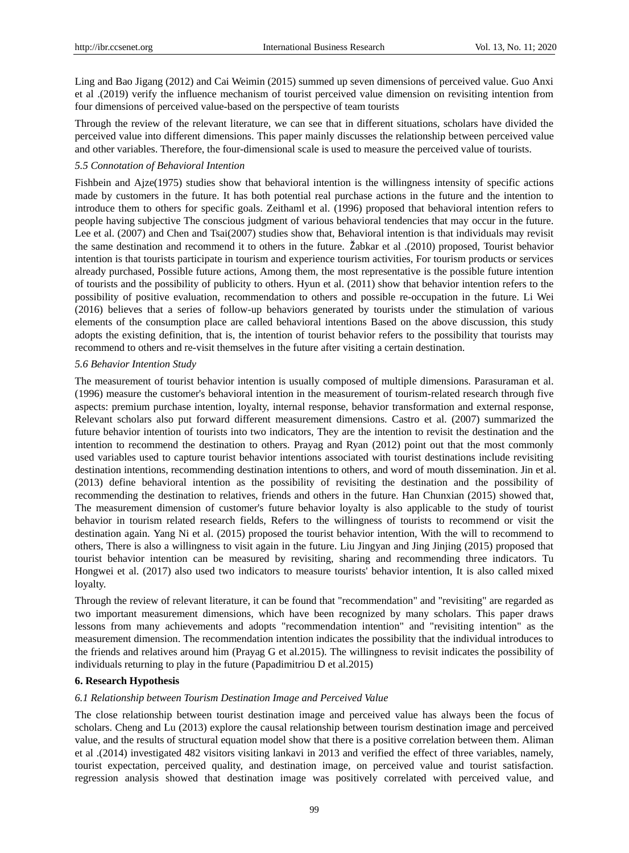Ling and Bao Jigang (2012) and Cai Weimin (2015) summed up seven dimensions of perceived value. Guo Anxi et al .(2019) verify the influence mechanism of tourist perceived value dimension on revisiting intention from four dimensions of perceived value-based on the perspective of team tourists

Through the review of the relevant literature, we can see that in different situations, scholars have divided the perceived value into different dimensions. This paper mainly discusses the relationship between perceived value and other variables. Therefore, the four-dimensional scale is used to measure the perceived value of tourists.

# *5.5 Connotation of Behavioral Intention*

Fishbein and Ajze(1975) studies show that behavioral intention is the willingness intensity of specific actions made by customers in the future. It has both potential real purchase actions in the future and the intention to introduce them to others for specific goals. Zeithaml et al. (1996) proposed that behavioral intention refers to people having subjective The conscious judgment of various behavioral tendencies that may occur in the future. Lee et al. (2007) and Chen and Tsai(2007) studies show that, Behavioral intention is that individuals may revisit the same destination and recommend it to others in the future. Žabkar et al .(2010) proposed, Tourist behavior intention is that tourists participate in tourism and experience tourism activities, For tourism products or services already purchased, Possible future actions, Among them, the most representative is the possible future intention of tourists and the possibility of publicity to others. Hyun et al. (2011) show that behavior intention refers to the possibility of positive evaluation, recommendation to others and possible re-occupation in the future. Li Wei (2016) believes that a series of follow-up behaviors generated by tourists under the stimulation of various elements of the consumption place are called behavioral intentions Based on the above discussion, this study adopts the existing definition, that is, the intention of tourist behavior refers to the possibility that tourists may recommend to others and re-visit themselves in the future after visiting a certain destination.

#### *5.6 Behavior Intention Study*

The measurement of tourist behavior intention is usually composed of multiple dimensions. Parasuraman et al. (1996) measure the customer's behavioral intention in the measurement of tourism-related research through five aspects: premium purchase intention, loyalty, internal response, behavior transformation and external response, Relevant scholars also put forward different measurement dimensions. Castro et al. (2007) summarized the future behavior intention of tourists into two indicators, They are the intention to revisit the destination and the intention to recommend the destination to others. Prayag and Ryan (2012) point out that the most commonly used variables used to capture tourist behavior intentions associated with tourist destinations include revisiting destination intentions, recommending destination intentions to others, and word of mouth dissemination. Jin et al. (2013) define behavioral intention as the possibility of revisiting the destination and the possibility of recommending the destination to relatives, friends and others in the future. Han Chunxian (2015) showed that, The measurement dimension of customer's future behavior loyalty is also applicable to the study of tourist behavior in tourism related research fields, Refers to the willingness of tourists to recommend or visit the destination again. Yang Ni et al. (2015) proposed the tourist behavior intention, With the will to recommend to others, There is also a willingness to visit again in the future. Liu Jingyan and Jing Jinjing (2015) proposed that tourist behavior intention can be measured by revisiting, sharing and recommending three indicators. Tu Hongwei et al. (2017) also used two indicators to measure tourists' behavior intention, It is also called mixed loyalty.

Through the review of relevant literature, it can be found that "recommendation" and "revisiting" are regarded as two important measurement dimensions, which have been recognized by many scholars. This paper draws lessons from many achievements and adopts "recommendation intention" and "revisiting intention" as the measurement dimension. The recommendation intention indicates the possibility that the individual introduces to the friends and relatives around him (Prayag G et al.2015). The willingness to revisit indicates the possibility of individuals returning to play in the future (Papadimitriou D et al.2015)

#### **6. Research Hypothesis**

#### *6.1 Relationship between Tourism Destination Image and Perceived Value*

The close relationship between tourist destination image and perceived value has always been the focus of scholars. Cheng and Lu (2013) explore the causal relationship between tourism destination image and perceived value, and the results of structural equation model show that there is a positive correlation between them. Aliman et al .(2014) investigated 482 visitors visiting lankavi in 2013 and verified the effect of three variables, namely, tourist expectation, perceived quality, and destination image, on perceived value and tourist satisfaction. regression analysis showed that destination image was positively correlated with perceived value, and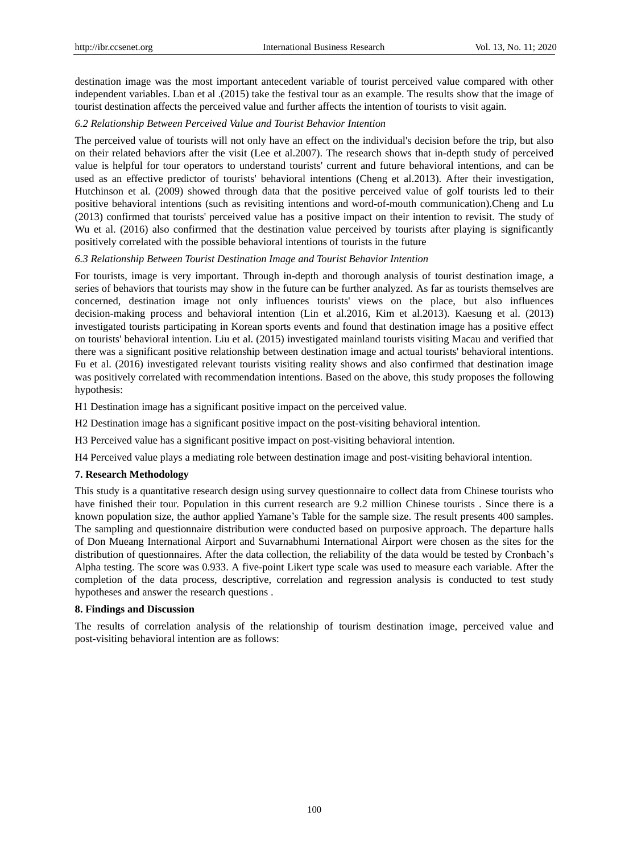destination image was the most important antecedent variable of tourist perceived value compared with other independent variables. Lban et al .(2015) take the festival tour as an example. The results show that the image of tourist destination affects the perceived value and further affects the intention of tourists to visit again.

## *6.2 Relationship Between Perceived Value and Tourist Behavior Intention*

The perceived value of tourists will not only have an effect on the individual's decision before the trip, but also on their related behaviors after the visit (Lee et al.2007). The research shows that in-depth study of perceived value is helpful for tour operators to understand tourists' current and future behavioral intentions, and can be used as an effective predictor of tourists' behavioral intentions (Cheng et al.2013). After their investigation, Hutchinson et al. (2009) showed through data that the positive perceived value of golf tourists led to their positive behavioral intentions (such as revisiting intentions and word-of-mouth communication).Cheng and Lu (2013) confirmed that tourists' perceived value has a positive impact on their intention to revisit. The study of Wu et al. (2016) also confirmed that the destination value perceived by tourists after playing is significantly positively correlated with the possible behavioral intentions of tourists in the future

## *6.3 Relationship Between Tourist Destination Image and Tourist Behavior Intention*

For tourists, image is very important. Through in-depth and thorough analysis of tourist destination image, a series of behaviors that tourists may show in the future can be further analyzed. As far as tourists themselves are concerned, destination image not only influences tourists' views on the place, but also influences decision-making process and behavioral intention (Lin et al.2016, Kim et al.2013). Kaesung et al. (2013) investigated tourists participating in Korean sports events and found that destination image has a positive effect on tourists' behavioral intention. Liu et al. (2015) investigated mainland tourists visiting Macau and verified that there was a significant positive relationship between destination image and actual tourists' behavioral intentions. Fu et al. (2016) investigated relevant tourists visiting reality shows and also confirmed that destination image was positively correlated with recommendation intentions. Based on the above, this study proposes the following hypothesis:

H1 Destination image has a significant positive impact on the perceived value.

- H2 Destination image has a significant positive impact on the post-visiting behavioral intention.
- H3 Perceived value has a significant positive impact on post-visiting behavioral intention.

H4 Perceived value plays a mediating role between destination image and post-visiting behavioral intention.

## **7. Research Methodology**

This study is a quantitative research design using survey questionnaire to collect data from Chinese tourists who have finished their tour. Population in this current research are 9.2 million Chinese tourists . Since there is a known population size, the author applied Yamane's Table for the sample size. The result presents 400 samples. The sampling and questionnaire distribution were conducted based on purposive approach. The departure halls of Don Mueang International Airport and Suvarnabhumi International Airport were chosen as the sites for the distribution of questionnaires. After the data collection, the reliability of the data would be tested by Cronbach's Alpha testing. The score was 0.933. A five-point Likert type scale was used to measure each variable. After the completion of the data process, descriptive, correlation and regression analysis is conducted to test study hypotheses and answer the research questions .

## **8. Findings and Discussion**

The results of correlation analysis of the relationship of tourism destination image, perceived value and post-visiting behavioral intention are as follows: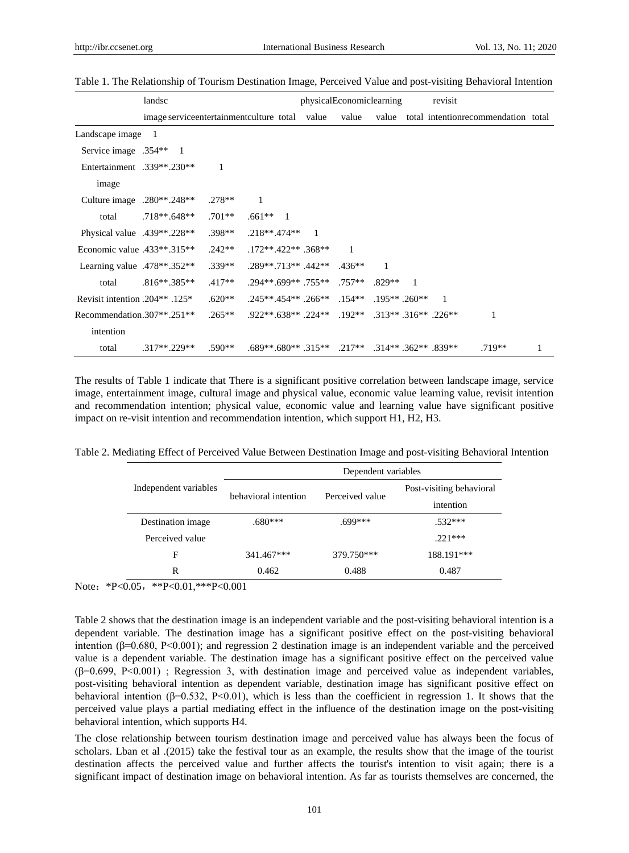|                                   | landsc                                  |          |                                              |                | physicalEconomiclearning |                 |              | revisit                    |                                     |   |
|-----------------------------------|-----------------------------------------|----------|----------------------------------------------|----------------|--------------------------|-----------------|--------------|----------------------------|-------------------------------------|---|
|                                   | image serviceentertainmentculture total |          |                                              | value          | value                    | value           |              |                            | total intentionrecommendation total |   |
| Landscape image                   | - 1                                     |          |                                              |                |                          |                 |              |                            |                                     |   |
| Service image .354** 1            |                                         |          |                                              |                |                          |                 |              |                            |                                     |   |
| Entertainment .339**.230**        |                                         | 1        |                                              |                |                          |                 |              |                            |                                     |   |
| image                             |                                         |          |                                              |                |                          |                 |              |                            |                                     |   |
| Culture image $.280**0.248**$     |                                         | $.278**$ | 1                                            |                |                          |                 |              |                            |                                     |   |
| total                             | $.718**.648**$                          | $.701**$ | $.661**$ 1                                   |                |                          |                 |              |                            |                                     |   |
| Physical value $.439**.228**$     |                                         | $.398**$ | .218**.474**                                 | $\overline{1}$ |                          |                 |              |                            |                                     |   |
| Economic value $.433**.315**$     |                                         | $.242**$ | $.172**.422**.368**$                         |                | 1                        |                 |              |                            |                                     |   |
| Learning value $.478**.352**$     |                                         | $.339**$ | $.289**.713**.442**$                         |                | $.436**$                 | 1               |              |                            |                                     |   |
| total                             | $.816**.385**$                          | $.417**$ | $.294**.699**.755**$                         |                | $.757**$                 | $.829**$        | $\mathbf{1}$ |                            |                                     |   |
| Revisit intention $.204**$ . 125* |                                         | $.620**$ | $.245**.454**.266**$                         |                | $.154**$                 | $.195**$ .260** |              | $\mathbf{1}$               |                                     |   |
| Recommendation.307**.251**        |                                         | $.265**$ | $.922**.638**.224**$                         |                | $.192**$                 |                 |              | $.313**$ $.316**$ $.226**$ | 1                                   |   |
| intention                         |                                         |          |                                              |                |                          |                 |              |                            |                                     |   |
| total                             | $.317**.229**$                          | $.590**$ | $.689**.680**.315**.217**.314**.362**.839**$ |                |                          |                 |              |                            | $.719**$                            | 1 |

Table 1. The Relationship of Tourism Destination Image, Perceived Value and post-visiting Behavioral Intention

The results of Table 1 indicate that There is a significant positive correlation between landscape image, service image, entertainment image, cultural image and physical value, economic value learning value, revisit intention and recommendation intention; physical value, economic value and learning value have significant positive impact on re-visit intention and recommendation intention, which support H1, H2, H3.

Table 2. Mediating Effect of Perceived Value Between Destination Image and post-visiting Behavioral Intention

|                       | Dependent variables  |                 |                          |  |  |
|-----------------------|----------------------|-----------------|--------------------------|--|--|
| Independent variables | behavioral intention |                 | Post-visiting behavioral |  |  |
|                       |                      | Perceived value | intention                |  |  |
| Destination image     | $.680***$            | $.699***$       | $.532***$                |  |  |
| Perceived value       |                      |                 | $221***$                 |  |  |
| F                     | 341.467***           | 379.750***      | 188.191***               |  |  |
| R                     | 0.462                | 0.488           | 0.487                    |  |  |

Note: \*P<0.05, \*\*P<0.01, \*\*\* P<0.001

Table 2 shows that the destination image is an independent variable and the post-visiting behavioral intention is a dependent variable. The destination image has a significant positive effect on the post-visiting behavioral intention (β=0.680, P<0.001); and regression 2 destination image is an independent variable and the perceived value is a dependent variable. The destination image has a significant positive effect on the perceived value  $(\beta=0.699, P<0.001)$ ; Regression 3, with destination image and perceived value as independent variables, post-visiting behavioral intention as dependent variable, destination image has significant positive effect on behavioral intention (β=0.532, P<0.01), which is less than the coefficient in regression 1. It shows that the perceived value plays a partial mediating effect in the influence of the destination image on the post-visiting behavioral intention, which supports H4.

The close relationship between tourism destination image and perceived value has always been the focus of scholars. Lban et al .(2015) take the festival tour as an example, the results show that the image of the tourist destination affects the perceived value and further affects the tourist's intention to visit again; there is a significant impact of destination image on behavioral intention. As far as tourists themselves are concerned, the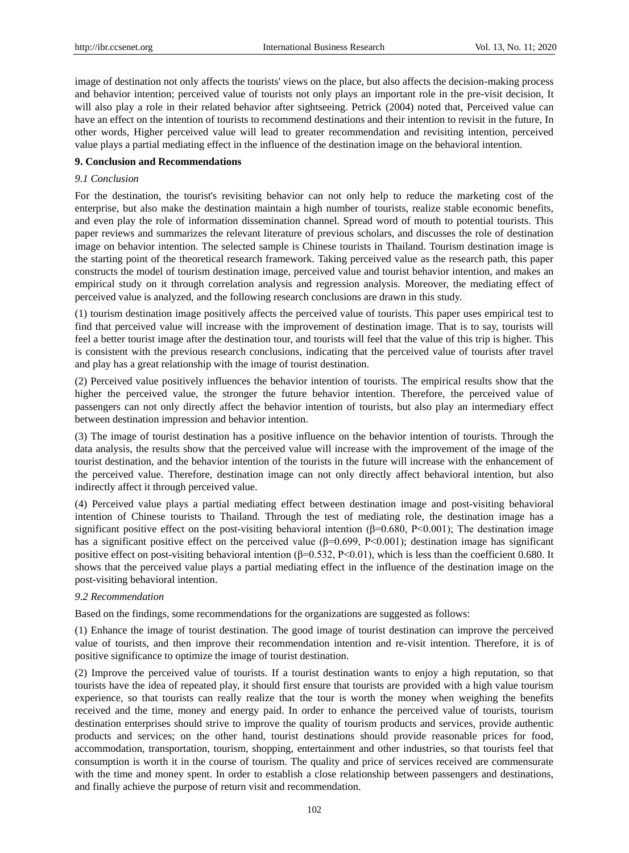image of destination not only affects the tourists' views on the place, but also affects the decision-making process and behavior intention; perceived value of tourists not only plays an important role in the pre-visit decision, It will also play a role in their related behavior after sightseeing. Petrick (2004) noted that, Perceived value can have an effect on the intention of tourists to recommend destinations and their intention to revisit in the future, In other words, Higher perceived value will lead to greater recommendation and revisiting intention, perceived value plays a partial mediating effect in the influence of the destination image on the behavioral intention.

## **9. Conclusion and Recommendations**

## *9.1 Conclusion*

For the destination, the tourist's revisiting behavior can not only help to reduce the marketing cost of the enterprise, but also make the destination maintain a high number of tourists, realize stable economic benefits, and even play the role of information dissemination channel. Spread word of mouth to potential tourists. This paper reviews and summarizes the relevant literature of previous scholars, and discusses the role of destination image on behavior intention. The selected sample is Chinese tourists in Thailand. Tourism destination image is the starting point of the theoretical research framework. Taking perceived value as the research path, this paper constructs the model of tourism destination image, perceived value and tourist behavior intention, and makes an empirical study on it through correlation analysis and regression analysis. Moreover, the mediating effect of perceived value is analyzed, and the following research conclusions are drawn in this study.

(1) tourism destination image positively affects the perceived value of tourists. This paper uses empirical test to find that perceived value will increase with the improvement of destination image. That is to say, tourists will feel a better tourist image after the destination tour, and tourists will feel that the value of this trip is higher. This is consistent with the previous research conclusions, indicating that the perceived value of tourists after travel and play has a great relationship with the image of tourist destination.

(2) Perceived value positively influences the behavior intention of tourists. The empirical results show that the higher the perceived value, the stronger the future behavior intention. Therefore, the perceived value of passengers can not only directly affect the behavior intention of tourists, but also play an intermediary effect between destination impression and behavior intention.

(3) The image of tourist destination has a positive influence on the behavior intention of tourists. Through the data analysis, the results show that the perceived value will increase with the improvement of the image of the tourist destination, and the behavior intention of the tourists in the future will increase with the enhancement of the perceived value. Therefore, destination image can not only directly affect behavioral intention, but also indirectly affect it through perceived value.

(4) Perceived value plays a partial mediating effect between destination image and post-visiting behavioral intention of Chinese tourists to Thailand. Through the test of mediating role, the destination image has a significant positive effect on the post-visiting behavioral intention ( $\beta$ =0.680, P<0.001); The destination image has a significant positive effect on the perceived value (β=0.699, P<0.001); destination image has significant positive effect on post-visiting behavioral intention  $(\beta=0.532, P<0.01)$ , which is less than the coefficient 0.680. It shows that the perceived value plays a partial mediating effect in the influence of the destination image on the post-visiting behavioral intention.

#### *9.2 Recommendation*

Based on the findings, some recommendations for the organizations are suggested as follows:

(1) Enhance the image of tourist destination. The good image of tourist destination can improve the perceived value of tourists, and then improve their recommendation intention and re-visit intention. Therefore, it is of positive significance to optimize the image of tourist destination.

(2) Improve the perceived value of tourists. If a tourist destination wants to enjoy a high reputation, so that tourists have the idea of repeated play, it should first ensure that tourists are provided with a high value tourism experience, so that tourists can really realize that the tour is worth the money when weighing the benefits received and the time, money and energy paid. In order to enhance the perceived value of tourists, tourism destination enterprises should strive to improve the quality of tourism products and services, provide authentic products and services; on the other hand, tourist destinations should provide reasonable prices for food, accommodation, transportation, tourism, shopping, entertainment and other industries, so that tourists feel that consumption is worth it in the course of tourism. The quality and price of services received are commensurate with the time and money spent. In order to establish a close relationship between passengers and destinations, and finally achieve the purpose of return visit and recommendation.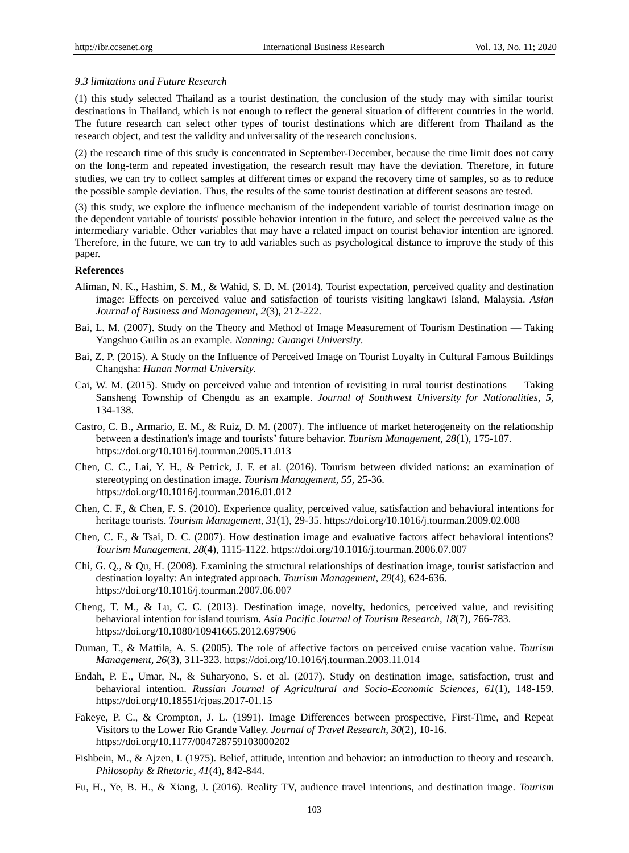#### *9.3 limitations and Future Research*

(1) this study selected Thailand as a tourist destination, the conclusion of the study may with similar tourist destinations in Thailand, which is not enough to reflect the general situation of different countries in the world. The future research can select other types of tourist destinations which are different from Thailand as the research object, and test the validity and universality of the research conclusions.

(2) the research time of this study is concentrated in September-December, because the time limit does not carry on the long-term and repeated investigation, the research result may have the deviation. Therefore, in future studies, we can try to collect samples at different times or expand the recovery time of samples, so as to reduce the possible sample deviation. Thus, the results of the same tourist destination at different seasons are tested.

(3) this study, we explore the influence mechanism of the independent variable of tourist destination image on the dependent variable of tourists' possible behavior intention in the future, and select the perceived value as the intermediary variable. Other variables that may have a related impact on tourist behavior intention are ignored. Therefore, in the future, we can try to add variables such as psychological distance to improve the study of this paper.

## **References**

- Aliman, N. K., Hashim, S. M., & Wahid, S. D. M. (2014). Tourist expectation, perceived quality and destination image: Effects on perceived value and satisfaction of tourists visiting langkawi Island, Malaysia. *Asian Journal of Business and Management, 2*(3), 212-222.
- Bai, L. M. (2007). Study on the Theory and Method of Image Measurement of Tourism Destination Taking Yangshuo Guilin as an example. *Nanning: Guangxi University*.
- Bai, Z. P. (2015). A Study on the Influence of Perceived Image on Tourist Loyalty in Cultural Famous Buildings Changsha: *Hunan Normal University*.
- Cai, W. M. (2015). Study on perceived value and intention of revisiting in rural tourist destinations Taking Sansheng Township of Chengdu as an example. *Journal of Southwest University for Nationalities*, *5,*  134-138.
- Castro, C. B., Armario, E. M., & Ruiz, D. M. (2007). The influence of market heterogeneity on the relationship between a destination's image and tourists' future behavior. *Tourism Management, 28*(1), 175-187. https://doi.org/10.1016/j.tourman.2005.11.013
- Chen, C. C., Lai, Y. H., & Petrick, J. F. et al. (2016). Tourism between divided nations: an examination of stereotyping on destination image. *Tourism Management*, *55,* 25-36. https://doi.org/10.1016/j.tourman.2016.01.012
- Chen, C. F., & Chen, F. S. (2010). Experience quality, perceived value, satisfaction and behavioral intentions for heritage tourists. *Tourism Management, 31*(1), 29-35. https://doi.org/10.1016/j.tourman.2009.02.008
- Chen, C. F., & Tsai, D. C. (2007). How destination image and evaluative factors affect behavioral intentions? *Tourism Management, 28*(4), 1115-1122. https://doi.org/10.1016/j.tourman.2006.07.007
- Chi, G. Q., & Qu, H. (2008). Examining the structural relationships of destination image, tourist satisfaction and destination loyalty: An integrated approach. *Tourism Management, 29*(4), 624-636. https://doi.org/10.1016/j.tourman.2007.06.007
- Cheng, T. M., & Lu, C. C. (2013). Destination image, novelty, hedonics, perceived value, and revisiting behavioral intention for island tourism. *Asia Pacific Journal of Tourism Research, 18*(7), 766-783. https://doi.org/10.1080/10941665.2012.697906
- Duman, T., & Mattila, A. S. (2005). The role of affective factors on perceived cruise vacation value. *Tourism Management, 26*(3), 311-323. https://doi.org/10.1016/j.tourman.2003.11.014
- Endah, P. E., Umar, N., & Suharyono, S. et al. (2017). Study on destination image, satisfaction, trust and behavioral intention. *Russian Journal of Agricultural and Socio-Economic Sciences*, *61*(1), 148-159. https://doi.org/10.18551/rjoas.2017-01.15
- Fakeye, P. C., & Crompton, J. L. (1991). Image Differences between prospective, First-Time, and Repeat Visitors to the Lower Rio Grande Valley. *Journal of Travel Research, 30*(2), 10-16. https://doi.org/10.1177/004728759103000202
- Fishbein, M., & Ajzen, I. (1975). Belief, attitude, intention and behavior: an introduction to theory and research. *Philosophy & Rhetoric*, *41*(4), 842-844.
- Fu, H., Ye, B. H., & Xiang, J. (2016). Reality TV, audience travel intentions, and destination image. *Tourism*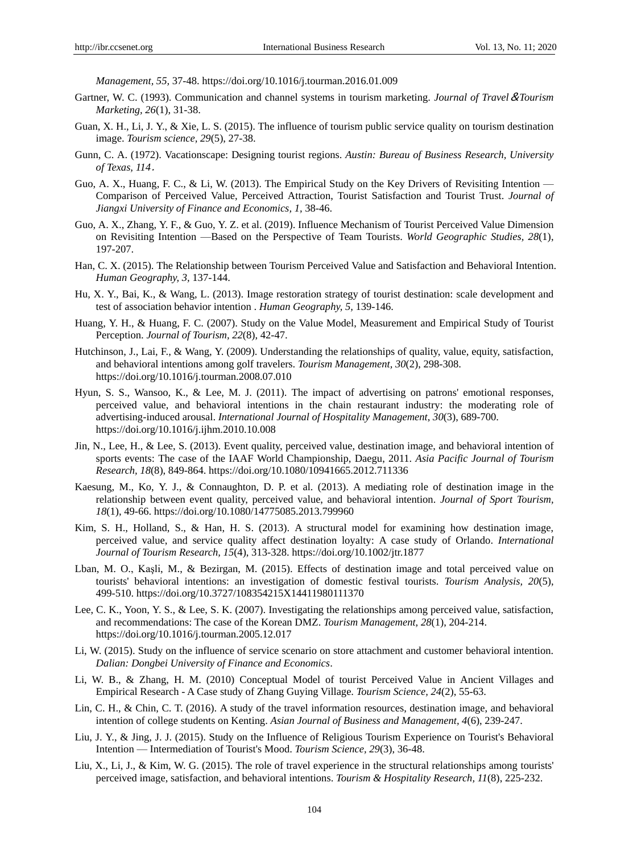*Management, 55,* 37-48. https://doi.org/10.1016/j.tourman.2016.01.009

- Gartner, W. C. (1993). Communication and channel systems in tourism marketing. *Journal of Travel*&*Tourism Marketing, 26*(1), 31-38.
- Guan, X. H., Li, J. Y., & Xie, L. S. (2015). The influence of tourism public service quality on tourism destination image. *Tourism science, 29*(5), 27-38.
- Gunn, C. A. (1972). Vacationscape: Designing tourist regions. *Austin: Bureau of Business Research, University of Texas, 114*.
- Guo, A. X., Huang, F. C., & Li, W. (2013). The Empirical Study on the Key Drivers of Revisiting Intention Comparison of Perceived Value, Perceived Attraction, Tourist Satisfaction and Tourist Trust. *Journal of Jiangxi University of Finance and Economics, 1,* 38-46.
- Guo, A. X., Zhang, Y. F., & Guo, Y. Z. et al. (2019). Influence Mechanism of Tourist Perceived Value Dimension on Revisiting Intention —Based on the Perspective of Team Tourists. *World Geographic Studies, 28*(1), 197-207.
- Han, C. X. (2015). The Relationship between Tourism Perceived Value and Satisfaction and Behavioral Intention. *Human Geography, 3,* 137-144.
- Hu, X. Y., Bai, K., & Wang, L. (2013). Image restoration strategy of tourist destination: scale development and test of association behavior intention . *Human Geography, 5,* 139-146.
- Huang, Y. H., & Huang, F. C. (2007). Study on the Value Model, Measurement and Empirical Study of Tourist Perception. *Journal of Tourism, 22*(8), 42-47.
- Hutchinson, J., Lai, F., & Wang, Y. (2009). Understanding the relationships of quality, value, equity, satisfaction, and behavioral intentions among golf travelers. *Tourism Management, 30*(2), 298-308. https://doi.org/10.1016/j.tourman.2008.07.010
- Hyun, S. S., Wansoo, K., & Lee, M. J. (2011). The impact of advertising on patrons' emotional responses, perceived value, and behavioral intentions in the chain restaurant industry: the moderating role of advertising-induced arousal. *International Journal of Hospitality Management*, *30*(3), 689-700. https://doi.org/10.1016/j.ijhm.2010.10.008
- Jin, N., Lee, H., & Lee, S. (2013). Event quality, perceived value, destination image, and behavioral intention of sports events: The case of the IAAF World Championship, Daegu, 2011. *Asia Pacific Journal of Tourism Research, 18*(8), 849-864. https://doi.org/10.1080/10941665.2012.711336
- Kaesung, M., Ko, Y. J., & Connaughton, D. P. et al. (2013). A mediating role of destination image in the relationship between event quality, perceived value, and behavioral intention. *Journal of Sport Tourism, 18*(1), 49-66. https://doi.org/10.1080/14775085.2013.799960
- Kim, S. H., Holland, S., & Han, H. S. (2013). A structural model for examining how destination image, perceived value, and service quality affect destination loyalty: A case study of Orlando. *International Journal of Tourism Research, 15*(4), 313-328. https://doi.org/10.1002/jtr.1877
- Lban, M. O., Kaşli, M., & Bezirgan, M. (2015). Effects of destination image and total perceived value on tourists' behavioral intentions: an investigation of domestic festival tourists. *Tourism Analysis, 20*(5), 499-510. https://doi.org/10.3727/108354215X14411980111370
- Lee, C. K., Yoon, Y. S., & Lee, S. K. (2007). Investigating the relationships among perceived value, satisfaction, and recommendations: The case of the Korean DMZ. *Tourism Management, 28*(1), 204-214. https://doi.org/10.1016/j.tourman.2005.12.017
- Li, W. (2015). Study on the influence of service scenario on store attachment and customer behavioral intention. *Dalian: Dongbei University of Finance and Economics*.
- Li, W. B., & Zhang, H. M. (2010) Conceptual Model of tourist Perceived Value in Ancient Villages and Empirical Research - A Case study of Zhang Guying Village. *Tourism Science, 24*(2), 55-63.
- Lin, C. H., & Chin, C. T. (2016). A study of the travel information resources, destination image, and behavioral intention of college students on Kenting. *Asian Journal of Business and Management, 4*(6), 239-247.
- Liu, J. Y., & Jing, J. J. (2015). Study on the Influence of Religious Tourism Experience on Tourist's Behavioral Intention — Intermediation of Tourist's Mood. *Tourism Science, 29*(3), 36-48.
- Liu, X., Li, J., & Kim, W. G. (2015). The role of travel experience in the structural relationships among tourists' perceived image, satisfaction, and behavioral intentions. *Tourism & Hospitality Research, 11*(8), 225-232.